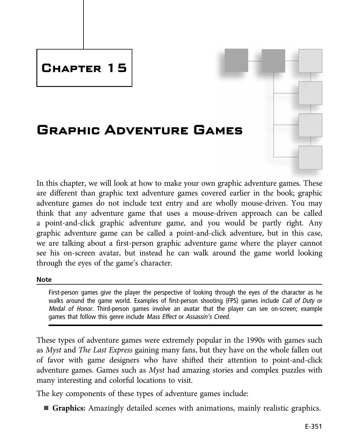# **Chapter 15**

# **Graphic Adventure Games**

In this chapter, we will look at how to make your own graphic adventure games. These are different than graphic text adventure games covered earlier in the book; graphic adventure games do not include text entry and are wholly mouse-driven. You may think that any adventure game that uses a mouse-driven approach can be called a point-and-click graphic adventure game, and you would be partly right. Any graphic adventure game can be called a point-and-click adventure, but in this case, we are talking about a first-person graphic adventure game where the player cannot see his on-screen avatar, but instead he can walk around the game world looking through the eyes of the game's character.

### **Note Note**

First-person games give the player the perspective of looking through the eyes of the character as he walks around the game world. Examples of first-person shooting (FPS) games include Call of Duty or Medal of Honor. Third-person games involve an avatar that the player can see on-screen; example games that follow this genre include Mass Effect or Assassin'<sup>s</sup> Creed.

These types of adventure games were extremely popular in the 1990s with games such as Myst and The Last Express gaining many fans, but they have on the whole fallen out of favor with game designers who have shifted their attention to point-and-click adventure games. Games such as Myst had amazing stories and complex puzzles with many interesting and colorful locations to visit.

The key components of these types of adventure games include:

n **Graphics:** Amazingly detailed scenes with animations, mainly realistic graphics.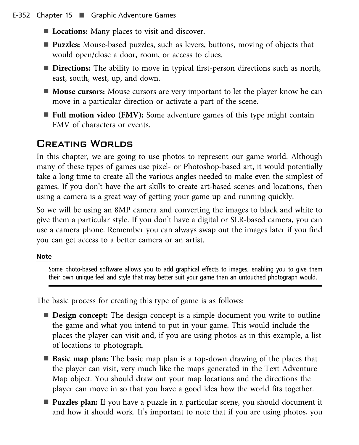- **Locations:** Many places to visit and discover.
- **Puzzles:** Mouse-based puzzles, such as levers, buttons, moving of objects that would open/close a door, room, or access to clues.
- **Directions:** The ability to move in typical first-person directions such as north, east, south, west, up, and down.
- **Mouse cursors:** Mouse cursors are very important to let the player know he can move in a particular direction or activate a part of the scene.
- **Full motion video (FMV):** Some adventure games of this type might contain FMV of characters or events.

## Creating Worlds

In this chapter, we are going to use photos to represent our game world. Although many of these types of games use pixel- or Photoshop-based art, it would potentially take a long time to create all the various angles needed to make even the simplest of games. If you don't have the art skills to create art-based scenes and locations, then using a camera is a great way of getting your game up and running quickly.

So we will be using an 8MP camera and converting the images to black and white to give them a particular style. If you don't have a digital or SLR-based camera, you can use a camera phone. Remember you can always swap out the images later if you find you can get access to a better camera or an artist.

### **Note Note**

Some photo-based software allows you to add graphical effects to images, enabling you to give them their own unique feel and style that may better suit your game than an untouched photograph would.

The basic process for creating this type of game is as follows:

- **Design concept:** The design concept is a simple document you write to outline the game and what you intend to put in your game. This would include the places the player can visit and, if you are using photos as in this example, a list of locations to photograph.
- **Basic map plan:** The basic map plan is a top-down drawing of the places that the player can visit, very much like the maps generated in the Text Adventure Map object. You should draw out your map locations and the directions the player can move in so that you have a good idea how the world fits together.
- **Puzzles plan:** If you have a puzzle in a particular scene, you should document it and how it should work. It's important to note that if you are using photos, you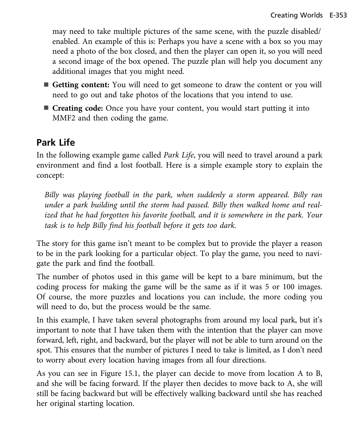may need to take multiple pictures of the same scene, with the puzzle disabled/ enabled. An example of this is: Perhaps you have a scene with a box so you may need a photo of the box closed, and then the player can open it, so you will need a second image of the box opened. The puzzle plan will help you document any additional images that you might need.

- Getting content: You will need to get someone to draw the content or you will need to go out and take photos of the locations that you intend to use.
- Creating code: Once you have your content, you would start putting it into MMF2 and then coding the game.

## **Park Life**

**Park Life** In the following example game called Park Life, you will need to travel around a park environment and find a lost football. Here is a simple example story to explain the concept:

Billy was playing football in the park, when suddenly a storm appeared. Billy ran under a park building until the storm had passed. Billy then walked home and realized that he had forgotten his favorite football, and it is somewhere in the park. Your task is to help Billy find his football before it gets too dark.

The story for this game isn't meant to be complex but to provide the player a reason to be in the park looking for a particular object. To play the game, you need to navigate the park and find the football.

The number of photos used in this game will be kept to a bare minimum, but the coding process for making the game will be the same as if it was 5 or 100 images. Of course, the more puzzles and locations you can include, the more coding you will need to do, but the process would be the same.

In this example, I have taken several photographs from around my local park, but it's important to note that I have taken them with the intention that the player can move forward, left, right, and backward, but the player will not be able to turn around on the spot. This ensures that the number of pictures I need to take is limited, as I don't need to worry about every location having images from all four directions.

As you can see in Figure 15.1, the player can decide to move from location A to B, and she will be facing forward. If the player then decides to move back to A, she will still be facing backward but will be effectively walking backward until she has reached her original starting location.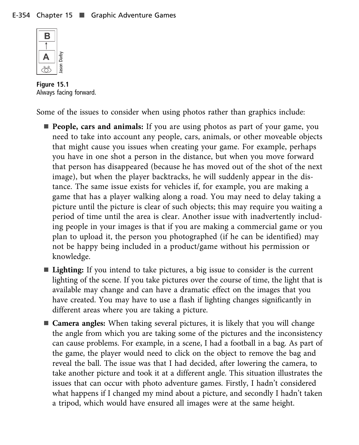

**A**<br>  $\begin{bmatrix} \begin{array}{c} \begin{array}{c} \bullet \\ \bullet \end{array} \\ \bullet \\ \begin{array}{c} \bullet \\ \bullet \end{array} \end{bmatrix} \end{bmatrix} \begin{bmatrix} \begin{array}{c} \frac{2}{3} \\ \frac{2}{3} \\ \frac{2}{3} \\ \bullet \\ \end{array} \end{bmatrix}$ <br> **Figure 15.1** 

Some of the issues to consider when using photos rather than graphics include:

- **People, cars and animals:** If you are using photos as part of your game, you need to take into account any people, cars, animals, or other moveable objects that might cause you issues when creating your game. For example, perhaps you have in one shot a person in the distance, but when you move forward that person has disappeared (because he has moved out of the shot of the next image), but when the player backtracks, he will suddenly appear in the distance. The same issue exists for vehicles if, for example, you are making a game that has a player walking along a road. You may need to delay taking a picture until the picture is clear of such objects; this may require you waiting a period of time until the area is clear. Another issue with inadvertently including people in your images is that if you are making a commercial game or you plan to upload it, the person you photographed (if he can be identified) may not be happy being included in a product/game without his permission or knowledge.
- **Lighting:** If you intend to take pictures, a big issue to consider is the current lighting of the scene. If you take pictures over the course of time, the light that is available may change and can have a dramatic effect on the images that you have created. You may have to use a flash if lighting changes significantly in different areas where you are taking a picture.
- **Camera angles:** When taking several pictures, it is likely that you will change the angle from which you are taking some of the pictures and the inconsistency can cause problems. For example, in a scene, I had a football in a bag. As part of the game, the player would need to click on the object to remove the bag and reveal the ball. The issue was that I had decided, after lowering the camera, to take another picture and took it at a different angle. This situation illustrates the issues that can occur with photo adventure games. Firstly, I hadn't considered what happens if I changed my mind about a picture, and secondly I hadn't taken a tripod, which would have ensured all images were at the same height.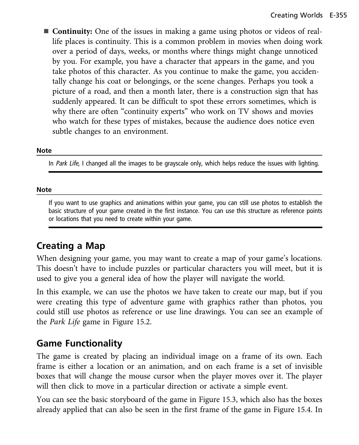■ **Continuity:** One of the issues in making a game using photos or videos of reallife places is continuity. This is a common problem in movies when doing work over a period of days, weeks, or months where things might change unnoticed by you. For example, you have a character that appears in the game, and you take photos of this character. As you continue to make the game, you accidentally change his coat or belongings, or the scene changes. Perhaps you took a picture of a road, and then a month later, there is a construction sign that has suddenly appeared. It can be difficult to spot these errors sometimes, which is why there are often "continuity experts" who work on TV shows and movies who watch for these types of mistakes, because the audience does notice even subtle changes to an environment.

## **Note**

In Park Life, I changed all the images to be grayscale only, which helps reduce the issues with lighting.

### **Note Note**

If you want to use graphics and animations within your game, you can still use photos to establish the basic structure of your game created in the first instance. You can use this structure as reference points or locations that you need to create within your game.

When designing your game, you may want to create a map of your game's locations. This doesn't have to include puzzles or particular characters you will meet, but it is used to give you a general idea of how the player will navigate the world.

In this example, we can use the photos we have taken to create our map, but if you were creating this type of adventure game with graphics rather than photos, you could still use photos as reference or use line drawings. You can see an example of the Park Life game in Figure 15.2.

The game is created by placing an individual image on a frame of its own. Each frame is either a location or an animation, and on each frame is a set of invisible boxes that will change the mouse cursor when the player moves over it. The player will then click to move in a particular direction or activate a simple event.

You can see the basic storyboard of the game in Figure 15.3, which also has the boxes already applied that can also be seen in the first frame of the game in Figure 15.4. In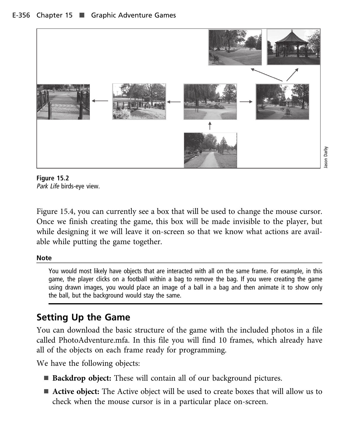

Park Life birds-eye view.

Figure 15.4, you can currently see a box that will be used to change the mouse cursor. Once we finish creating the game, this box will be made invisible to the player, but while designing it we will leave it on-screen so that we know what actions are available while putting the game together.

### **Note Note**

You would most likely have objects that are interacted with all on the same frame. For example, in this game, the player clicks on a football within a bag to remove the bag. If you were creating the game using drawn images, you would place an image of a ball in a bag and then animate it to show only the ball, but the background would stay the same.

**Setting Up the Game** You can download the basic structure of the game with the included photos in a file called PhotoAdventure.mfa. In this file you will find 10 frames, which already have all of the objects on each frame ready for programming.

We have the following objects:

- **Backdrop object:** These will contain all of our background pictures.
- **Active object:** The Active object will be used to create boxes that will allow us to check when the mouse cursor is in a particular place on-screen.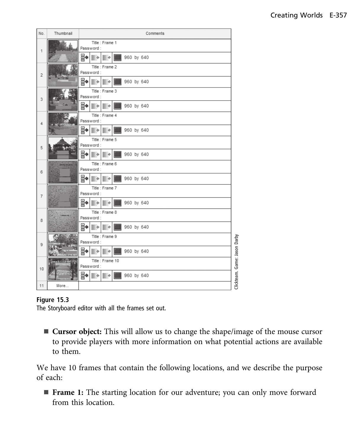|  | No.            | Thumbnail | Comments                               |                                        |                              |  |  |
|--|----------------|-----------|----------------------------------------|----------------------------------------|------------------------------|--|--|
|  | 1              |           | Title : Frame 1<br>Password:           |                                        |                              |  |  |
|  |                |           | ₩<br>960 by 640<br>II.<br>III.         |                                        |                              |  |  |
|  | $\overline{2}$ |           | Title : Frame 2<br>Password:           |                                        |                              |  |  |
|  |                |           | ₩<br>960 by 640                        |                                        |                              |  |  |
|  | 3              |           | Title : Frame 3<br>Password:           |                                        |                              |  |  |
|  |                |           | ₩<br>II.<br>960 by 640                 |                                        |                              |  |  |
|  | 4              |           | Title : Frame 4<br>Password:           |                                        |                              |  |  |
|  |                |           | ₩<br>960 by 640                        |                                        |                              |  |  |
|  | 5              |           | Title : Frame 5<br>Password:           |                                        |                              |  |  |
|  |                |           | ₩<br>D<br>960 by 640<br>$\mathbb{R}$   |                                        |                              |  |  |
|  | 6              |           | Title : Frame 6<br>Password:           |                                        |                              |  |  |
|  |                |           |                                        | ₩<br>p.<br>960 by 640<br>$\mathbb{D}$  |                              |  |  |
|  | $\overline{7}$ |           | Title : Frame 7<br>Password:           |                                        |                              |  |  |
|  |                |           | ₩<br>$\blacksquare$<br>960 by 640<br>∎ |                                        |                              |  |  |
|  | 8              |           | Title : Frame 8<br>Password:           |                                        |                              |  |  |
|  |                |           |                                        | ₩<br>II.<br>960 by 640<br>$\mathbb{D}$ |                              |  |  |
|  | 9              |           | Title : Frame 9<br>Password:           |                                        |                              |  |  |
|  |                |           |                                        | ₩<br>II.<br>960 by 640<br>∎            |                              |  |  |
|  | 10             |           |                                        | Title : Frame 10<br>Password:          | Clickteam. Game: Jason Darby |  |  |
|  |                |           | ₩<br>$\mathbb{R}$<br>960 by 640<br>∎   |                                        |                              |  |  |
|  | 11             | More      |                                        |                                        |                              |  |  |

**Figure 15.3** The Storyboard editor with all the frames set out.

■ **Cursor object:** This will allow us to change the shape/image of the mouse cursor to provide players with more information on what potential actions are available to them.

We have 10 frames that contain the following locations, and we describe the purpose of each:

■ Frame 1: The starting location for our adventure; you can only move forward from this location.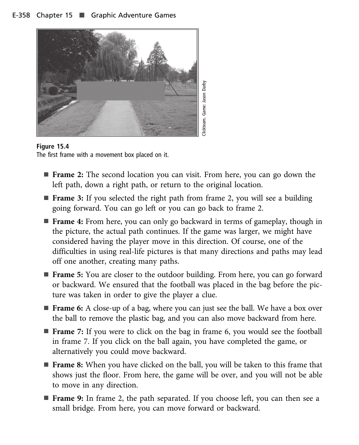

**Figure 15.4** The first frame with a movement box placed on it.

- **Frame 2:** The second location you can visit. From here, you can go down the left path, down a right path, or return to the original location.
- **Frame 3:** If you selected the right path from frame 2, you will see a building going forward. You can go left or you can go back to frame 2.
- Frame 4: From here, you can only go backward in terms of gameplay, though in the picture, the actual path continues. If the game was larger, we might have considered having the player move in this direction. Of course, one of the difficulties in using real-life pictures is that many directions and paths may lead off one another, creating many paths.
- **Frame 5:** You are closer to the outdoor building. From here, you can go forward or backward. We ensured that the football was placed in the bag before the picture was taken in order to give the player a clue.
- **Frame 6:** A close-up of a bag, where you can just see the ball. We have a box over the ball to remove the plastic bag, and you can also move backward from here.
- **Frame** 7: If you were to click on the bag in frame 6, you would see the football in frame 7. If you click on the ball again, you have completed the game, or alternatively you could move backward.
- **Frame 8:** When you have clicked on the ball, you will be taken to this frame that shows just the floor. From here, the game will be over, and you will not be able to move in any direction.
- **Frame 9:** In frame 2, the path separated. If you choose left, you can then see a small bridge. From here, you can move forward or backward.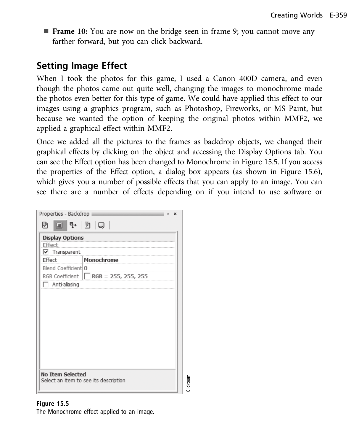**Frame 10:** You are now on the bridge seen in frame 9; you cannot move any farther forward, but you can click backward.

**Setting Image Effect** When I took the photos for this game, I used a Canon 400D camera, and even though the photos came out quite well, changing the images to monochrome made the photos even better for this type of game. We could have applied this effect to our images using a graphics program, such as Photoshop, Fireworks, or MS Paint, but because we wanted the option of keeping the original photos within MMF2, we applied a graphical effect within MMF2.

Once we added all the pictures to the frames as backdrop objects, we changed their graphical effects by clicking on the object and accessing the Display Options tab. You can see the Effect option has been changed to Monochrome in Figure 15.5. If you access the properties of the Effect option, a dialog box appears (as shown in Figure 15.6), which gives you a number of possible effects that you can apply to an image. You can see there are a number of effects depending on if you intend to use software or

| Properties - Backdrop ≣                                  | $\times$                                   |  |  |  |  |  |  |  |  |  |
|----------------------------------------------------------|--------------------------------------------|--|--|--|--|--|--|--|--|--|
| G + 0 Q                                                  |                                            |  |  |  |  |  |  |  |  |  |
| <b>Display Options</b><br>Effect                         |                                            |  |  |  |  |  |  |  |  |  |
| $\nabla$ Transparent                                     |                                            |  |  |  |  |  |  |  |  |  |
| Effect                                                   | Monochrome                                 |  |  |  |  |  |  |  |  |  |
| Blend Coefficient 0                                      |                                            |  |  |  |  |  |  |  |  |  |
|                                                          | RGB Coefficient $\Box$ RGB = 255, 255, 255 |  |  |  |  |  |  |  |  |  |
| Anti-aliasing                                            |                                            |  |  |  |  |  |  |  |  |  |
|                                                          |                                            |  |  |  |  |  |  |  |  |  |
|                                                          |                                            |  |  |  |  |  |  |  |  |  |
|                                                          |                                            |  |  |  |  |  |  |  |  |  |
|                                                          |                                            |  |  |  |  |  |  |  |  |  |
|                                                          |                                            |  |  |  |  |  |  |  |  |  |
|                                                          |                                            |  |  |  |  |  |  |  |  |  |
|                                                          |                                            |  |  |  |  |  |  |  |  |  |
|                                                          |                                            |  |  |  |  |  |  |  |  |  |
|                                                          |                                            |  |  |  |  |  |  |  |  |  |
| <b>No Item Selected</b>                                  |                                            |  |  |  |  |  |  |  |  |  |
| <b>Tickteam</b><br>Select an item to see its description |                                            |  |  |  |  |  |  |  |  |  |
|                                                          |                                            |  |  |  |  |  |  |  |  |  |

The Monochrome effect applied to an image.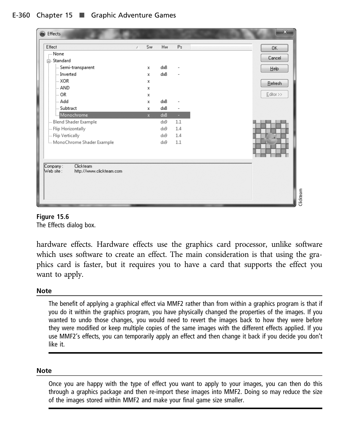| Effects                                                                               |    |              |     |     | $\mathbf x$  |
|---------------------------------------------------------------------------------------|----|--------------|-----|-----|--------------|
| Effect                                                                                | y. | Sw           | Hw  | Ps  | 0K           |
| None                                                                                  |    |              |     |     |              |
| □ Standard                                                                            |    |              |     |     | Cancel       |
| Semi-transparent                                                                      |    | х            | dx8 |     | Help         |
| Inverted                                                                              |    | x            | dx8 |     |              |
| i… XOR                                                                                |    | х            |     |     | Refresh      |
| ⊧… AND                                                                                |    | х            |     |     |              |
| ⊧… OR                                                                                 |    | x            |     |     | $E$ ditor >> |
| ⊧ Add                                                                                 |    | x            | dx8 |     |              |
| Subtract                                                                              |    | х            | dx8 | -   |              |
| Monochrome                                                                            |    | $\mathbf{x}$ | dx8 | ÷.  |              |
| Blend Shader Example                                                                  |    |              | dx9 | 1.1 |              |
| Flip Horizontally                                                                     |    |              | dx9 | 1.4 |              |
| - Flip Vertically                                                                     |    |              | dx9 | 1.4 |              |
| MonoChrome Shader Example                                                             |    |              | dx9 | 1.1 |              |
|                                                                                       |    |              |     |     |              |
|                                                                                       |    |              |     |     |              |
| Clickteam<br>Company:<br>http://www.clickteam.com<br>$\mathsf{Web}\, \mathsf{site}$ : |    |              |     |     |              |



hardware effects. Hardware effects use the graphics card processor, unlike software which uses software to create an effect. The main consideration is that using the graphics card is faster, but it requires you to have a card that supports the effect you want to apply.

### **Note Note**

The benefit of applying a graphical effect via MMF2 rather than from within a graphics program is that if you do it within the graphics program, you have physically changed the properties of the images. If you wanted to undo those changes, you would need to revert the images back to how they were before they were modified or keep multiple copies of the same images with the different effects applied. If you use MMF2's effects, you can temporarily apply an effect and then change it back if you decide you don't like it.

## **Note**

Once you are happy with the type of effect you want to apply to your images, you can then do this through a graphics package and then re-import these images into MMF2. Doing so may reduce the size of the images stored within MMF2 and make your final game size smaller.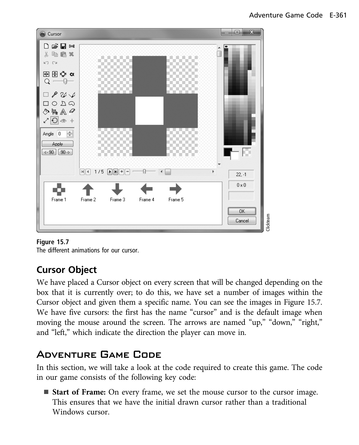

### Figure 15.7

The different animations for our cursor.

**Cursor Object** We have placed a Cursor object on every screen that will be changed depending on the box that it is currently over; to do this, we have set a number of images within the Cursor object and given them a specific name. You can see the images in Figure 15.7. We have five cursors: the first has the name "cursor" and is the default image when moving the mouse around the screen. The arrows are named "up," "down," "right," and "left," which indicate the direction the player can move in.

## Adventure Game Code

In this section, we will take a look at the code required to create this game. The code in our game consists of the following key code:

**Start of Frame:** On every frame, we set the mouse cursor to the cursor image. This ensures that we have the initial drawn cursor rather than a traditional Windows cursor.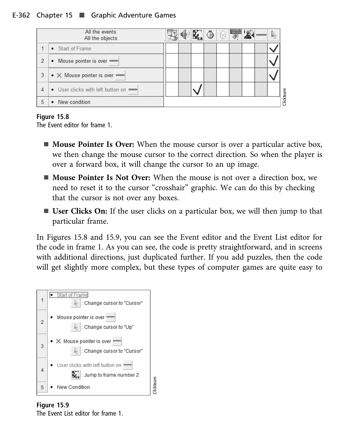### E-362 Chapter 15 ■ Graphic Adventure Games



**Figure 15.8** The Event editor for frame 1.

- **Mouse Pointer Is Over:** When the mouse cursor is over a particular active box, we then change the mouse cursor to the correct direction. So when the player is over a forward box, it will change the cursor to an up image.
- **n Mouse Pointer Is Not Over:** When the mouse is not over a direction box, we need to reset it to the cursor "crosshair" graphic. We can do this by checking that the cursor is not over any boxes.
- **User Clicks On:** If the user clicks on a particular box, we will then jump to that particular frame.

In Figures 15.8 and 15.9, you can see the Event editor and the Event List editor for the code in frame 1. As you can see, the code is pretty straightforward, and in screens with additional directions, just duplicated further. If you add puzzles, then the code will get slightly more complex, but these types of computer games are quite easy to



**Figure 15.9** The Event List editor for frame 1.